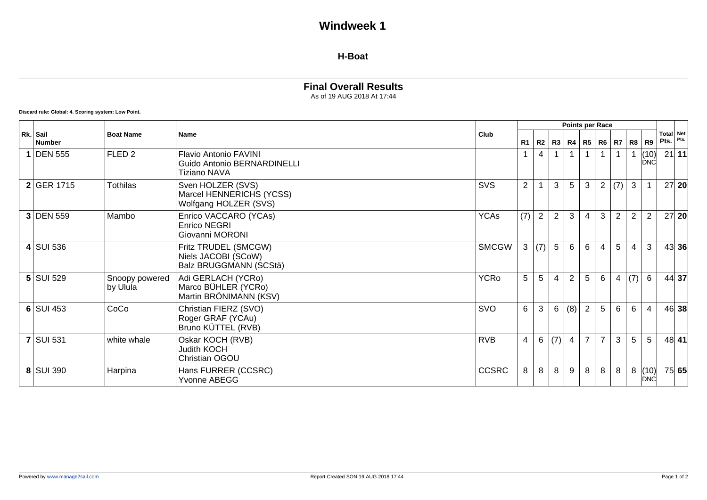# **Windweek 1**

#### **H-Boat**

### **Final Overall Results**

As of 19 AUG 2018 At 17:44

**Discard rule: Global: 4. Scoring system: Low Point.**

|                           |                            |                                                                             | Club         | <b>Points per Race</b> |     |                 |                |                |                |                   |                |                     |                   |       |
|---------------------------|----------------------------|-----------------------------------------------------------------------------|--------------|------------------------|-----|-----------------|----------------|----------------|----------------|-------------------|----------------|---------------------|-------------------|-------|
| Rk. Sail<br><b>Number</b> | <b>Boat Name</b>           | <b>Name</b>                                                                 |              | R <sub>1</sub>         | R2  | R3              |                |                |                | R4   R5   R6   R7 | R <sub>8</sub> | R9                  | Total Net<br>Pts. | Pts.  |
| 1 DEN 555                 | FLED <sub>2</sub>          | <b>Flavio Antonio FAVINI</b><br>Guido Antonio BERNARDINELLI<br>Tiziano NAVA |              |                        | 4   |                 | $\mathbf{1}$   |                |                |                   |                | (10)<br><b>IDNC</b> |                   | 21 11 |
| 2 GER 1715                | <b>Tothilas</b>            | Sven HOLZER (SVS)<br>Marcel HENNERICHS (YCSS)<br>Wolfgang HOLZER (SVS)      | <b>SVS</b>   | $\overline{2}$         |     | 3               | 5              | 3              | $\overline{2}$ | (7)               | $\mathbf{3}$   |                     |                   | 27 20 |
| 3 DEN 559                 | Mambo                      | Enrico VACCARO (YCAs)<br>Enrico NEGRI<br>Giovanni MORONI                    | <b>YCAs</b>  | (7)                    | 2   | $\overline{2}$  | 3              | $\overline{4}$ | 3              | $\overline{2}$    | $\overline{2}$ | 2                   |                   | 27 20 |
| $4$ SUI 536               |                            | Fritz TRUDEL (SMCGW)<br>Niels JACOBI (SCoW)<br>Balz BRUGGMANN (SCStä)       | <b>SMCGW</b> | 3                      | (7) | $5\overline{)}$ | $6\phantom{1}$ | 6              | 4              | 5                 | $\overline{4}$ | 3                   |                   | 43 36 |
| $5$ SUI 529               | Snoopy powered<br>by Ulula | Adi GERLACH (YCRo)<br>Marco BÜHLER (YCRo)<br>Martin BRÖNIMANN (KSV)         | <b>YCRo</b>  | 5                      | 5   | $\overline{4}$  | $\overline{2}$ | 5              | 6              | 4                 | (7)            | 6                   |                   | 44 37 |
| $6$ SUI 453               | CoCo                       | Christian FIERZ (SVO)<br>Roger GRAF (YCAu)<br>Bruno KÜTTEL (RVB)            | SVO          | 6                      | 3   | $6\overline{6}$ | $(8)$ 2        |                | 5              | 6                 | 6              | $\overline{4}$      |                   | 46 38 |
| <b>7 SUI 531</b>          | white whale                | Oskar KOCH (RVB)<br>Judith KOCH<br><b>Christian OGOU</b>                    | <b>RVB</b>   | 4                      | 6   | (7)             | $\pm$ 4 $\pm$  | $\overline{7}$ | $\overline{7}$ | 3                 | 5              | 5                   |                   | 48 41 |
| 8 SUI 390                 | Harpina                    | Hans FURRER (CCSRC)<br>Yvonne ABEGG                                         | <b>CCSRC</b> | 8                      | 8   | 8               | 9              | 8              | 8              | 8                 | 8              | (10)<br>DNC         |                   | 75 65 |